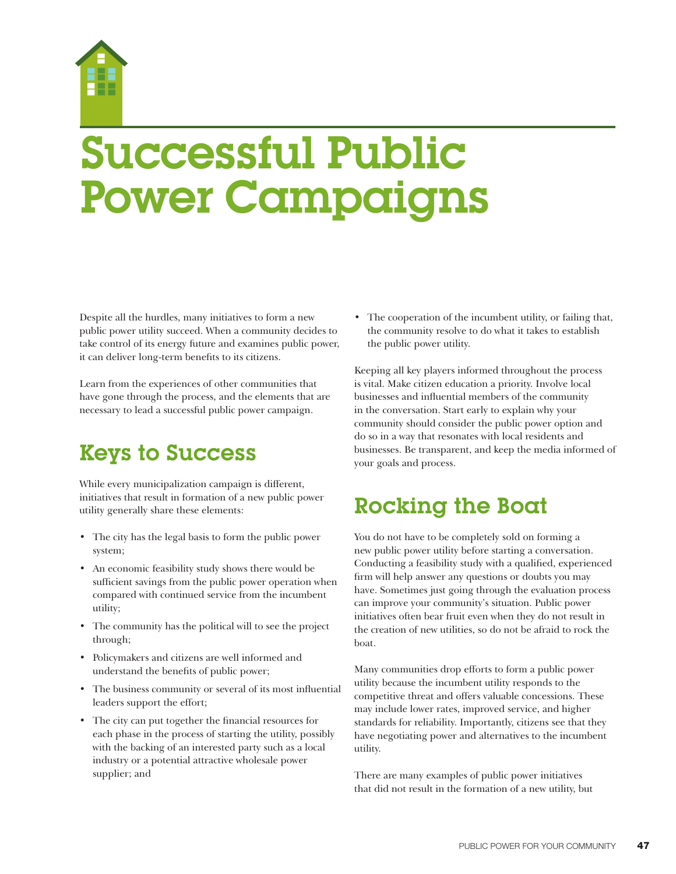

# Successful Public Power Campaigns

Despite all the hurdles, many initiatives to form a new public power utility succeed. When a community decides to take control of its energy future and examines public power, it can deliver long-term benefits to its citizens.

Learn from the experiences of other communities that have gone through the process, and the elements that are necessary to lead a successful public power campaign.

# Keys to Success

While every municipalization campaign is different, initiatives that result in formation of a new public power utility generally share these elements:

- The city has the legal basis to form the public power system;
- An economic feasibility study shows there would be sufficient savings from the public power operation when compared with continued service from the incumbent utility;
- The community has the political will to see the project through;
- Policymakers and citizens are well informed and understand the benefits of public power;
- The business community or several of its most influential leaders support the effort;
- The city can put together the financial resources for each phase in the process of starting the utility, possibly with the backing of an interested party such as a local industry or a potential attractive wholesale power supplier; and

• The cooperation of the incumbent utility, or failing that, the community resolve to do what it takes to establish the public power utility.

Keeping all key players informed throughout the process is vital. Make citizen education a priority. Involve local businesses and influential members of the community in the conversation. Start early to explain why your community should consider the public power option and do so in a way that resonates with local residents and businesses. Be transparent, and keep the media informed of your goals and process.

# Rocking the Boat

You do not have to be completely sold on forming a new public power utility before starting a conversation. Conducting a feasibility study with a qualified, experienced firm will help answer any questions or doubts you may have. Sometimes just going through the evaluation process can improve your community's situation. Public power initiatives often bear fruit even when they do not result in the creation of new utilities, so do not be afraid to rock the boat.

Many communities drop efforts to form a public power utility because the incumbent utility responds to the competitive threat and offers valuable concessions. These may include lower rates, improved service, and higher standards for reliability. Importantly, citizens see that they have negotiating power and alternatives to the incumbent utility.

There are many examples of public power initiatives that did not result in the formation of a new utility, but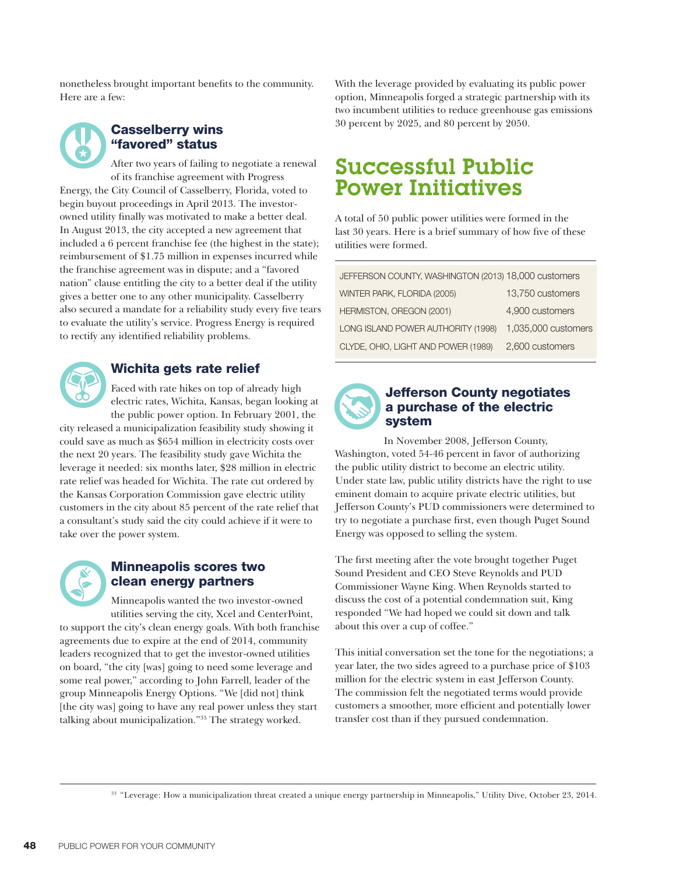nonetheless brought important benefits to the community. Here are a few:



### Casselberry wins "favored" status

After two years of failing to negotiate a renewal of its franchise agreement with Progress Energy, the City Council of Casselberry, Florida, voted to begin buyout proceedings in April 2013. The investorowned utility finally was motivated to make a better deal. In August 2013, the city accepted a new agreement that included a 6 percent franchise fee (the highest in the state); reimbursement of \$1.75 million in expenses incurred while the franchise agreement was in dispute; and a "favored nation" clause entitling the city to a better deal if the utility gives a better one to any other municipality. Casselberry also secured a mandate for a reliability study every five tears to evaluate the utility's service. Progress Energy is required to rectify any identified reliability problems.



## Wichita gets rate relief

Faced with rate hikes on top of already high electric rates, Wichita, Kansas, began looking at the public power option. In February 2001, the

city released a municipalization feasibility study showing it could save as much as \$654 million in electricity costs over the next 20 years. The feasibility study gave Wichita the leverage it needed: six months later, \$28 million in electric rate relief was headed for Wichita. The rate cut ordered by the Kansas Corporation Commission gave electric utility customers in the city about 85 percent of the rate relief that a consultant's study said the city could achieve if it were to take over the power system.



### Minneapolis scores two clean energy partners

Minneapolis wanted the two investor-owned utilities serving the city, Xcel and CenterPoint,

to support the city's clean energy goals. With both franchise agreements due to expire at the end of 2014, community leaders recognized that to get the investor-owned utilities on board, "the city [was] going to need some leverage and some real power," according to John Farrell, leader of the group Minneapolis Energy Options. "We [did not] think [the city was] going to have any real power unless they start talking about municipalization."33 The strategy worked.

With the leverage provided by evaluating its public power option, Minneapolis forged a strategic partnership with its two incumbent utilities to reduce greenhouse gas emissions 30 percent by 2025, and 80 percent by 2050.

# Successful Public Power Initiatives

A total of 50 public power utilities were formed in the last 30 years. Here is a brief summary of how five of these utilities were formed.

| JEFFERSON COUNTY, WASHINGTON (2013) 18,000 customers |                     |
|------------------------------------------------------|---------------------|
| WINTER PARK, FLORIDA (2005)                          | 13,750 customers    |
| HERMISTON, OREGON (2001)                             | 4,900 customers     |
| LONG ISLAND POWER AUTHORITY (1998)                   | 1,035,000 customers |
| CLYDE, OHIO, LIGHT AND POWER (1989)                  | 2,600 customers     |



#### Jefferson County negotiates a purchase of the electric system

 In November 2008, Jefferson County, Washington, voted 54-46 percent in favor of authorizing the public utility district to become an electric utility. Under state law, public utility districts have the right to use eminent domain to acquire private electric utilities, but Jefferson County's PUD commissioners were determined to try to negotiate a purchase first, even though Puget Sound Energy was opposed to selling the system.

The first meeting after the vote brought together Puget Sound President and CEO Steve Reynolds and PUD Commissioner Wayne King. When Reynolds started to discuss the cost of a potential condemnation suit, King responded "We had hoped we could sit down and talk about this over a cup of coffee."

This initial conversation set the tone for the negotiations; a year later, the two sides agreed to a purchase price of \$103 million for the electric system in east Jefferson County. The commission felt the negotiated terms would provide customers a smoother, more efficient and potentially lower transfer cost than if they pursued condemnation.

33 "Leverage: How a municipalization threat created a unique energy partnership in Minneapolis," Utility Dive, October 23, 2014.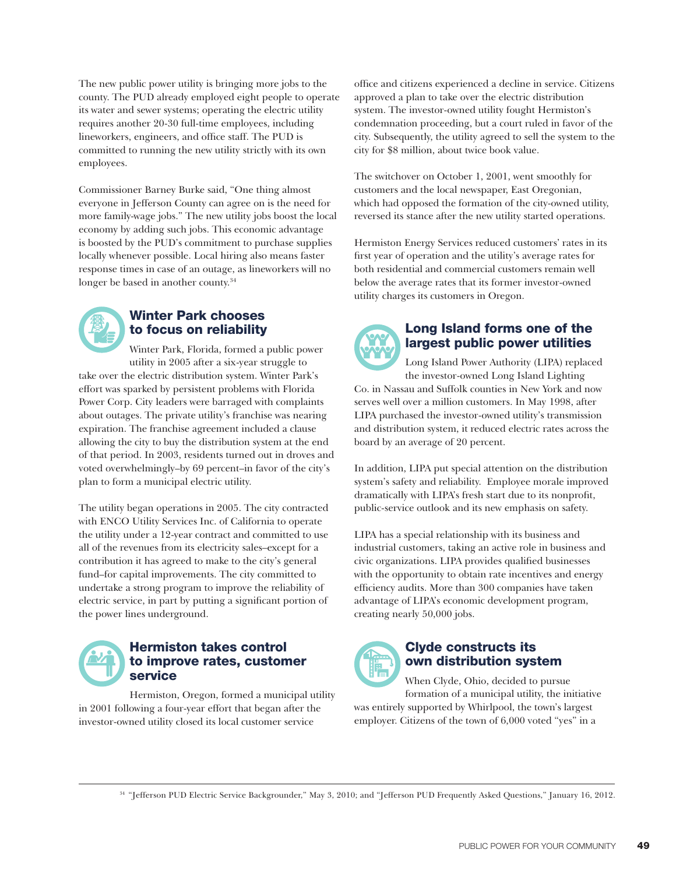The new public power utility is bringing more jobs to the county. The PUD already employed eight people to operate its water and sewer systems; operating the electric utility requires another 20-30 full-time employees, including lineworkers, engineers, and office staff. The PUD is committed to running the new utility strictly with its own employees.

Commissioner Barney Burke said, "One thing almost everyone in Jefferson County can agree on is the need for more family-wage jobs." The new utility jobs boost the local economy by adding such jobs. This economic advantage is boosted by the PUD's commitment to purchase supplies locally whenever possible. Local hiring also means faster response times in case of an outage, as lineworkers will no longer be based in another county.<sup>34</sup>



### Winter Park chooses to focus on reliability

Winter Park, Florida, formed a public power utility in 2005 after a six-year struggle to take over the electric distribution system. Winter Park's effort was sparked by persistent problems with Florida Power Corp. City leaders were barraged with complaints about outages. The private utility's franchise was nearing expiration. The franchise agreement included a clause allowing the city to buy the distribution system at the end of that period. In 2003, residents turned out in droves and voted overwhelmingly–by 69 percent–in favor of the city's plan to form a municipal electric utility.

The utility began operations in 2005. The city contracted with ENCO Utility Services Inc. of California to operate the utility under a 12-year contract and committed to use all of the revenues from its electricity sales–except for a contribution it has agreed to make to the city's general fund–for capital improvements. The city committed to undertake a strong program to improve the reliability of electric service, in part by putting a significant portion of the power lines underground.



#### Hermiston takes control to improve rates, customer service

Hermiston, Oregon, formed a municipal utility in 2001 following a four-year effort that began after the investor-owned utility closed its local customer service

office and citizens experienced a decline in service. Citizens approved a plan to take over the electric distribution system. The investor-owned utility fought Hermiston's condemnation proceeding, but a court ruled in favor of the city. Subsequently, the utility agreed to sell the system to the city for \$8 million, about twice book value.

The switchover on October 1, 2001, went smoothly for customers and the local newspaper, East Oregonian, which had opposed the formation of the city-owned utility, reversed its stance after the new utility started operations.

Hermiston Energy Services reduced customers' rates in its first year of operation and the utility's average rates for both residential and commercial customers remain well below the average rates that its former investor-owned utility charges its customers in Oregon.



### Long Island forms one of the largest public power utilities

Long Island Power Authority (LIPA) replaced the investor-owned Long Island Lighting Co. in Nassau and Suffolk counties in New York and now serves well over a million customers. In May 1998, after LIPA purchased the investor-owned utility's transmission and distribution system, it reduced electric rates across the board by an average of 20 percent.

In addition, LIPA put special attention on the distribution system's safety and reliability. Employee morale improved dramatically with LIPA's fresh start due to its nonprofit, public-service outlook and its new emphasis on safety.

LIPA has a special relationship with its business and industrial customers, taking an active role in business and civic organizations. LIPA provides qualified businesses with the opportunity to obtain rate incentives and energy efficiency audits. More than 300 companies have taken advantage of LIPA's economic development program, creating nearly 50,000 jobs.



### Clyde constructs its own distribution system

When Clyde, Ohio, decided to pursue formation of a municipal utility, the initiative was entirely supported by Whirlpool, the town's largest employer. Citizens of the town of 6,000 voted "yes" in a

34 "Jefferson PUD Electric Service Backgrounder," May 3, 2010; and "Jefferson PUD Frequently Asked Questions," January 16, 2012.